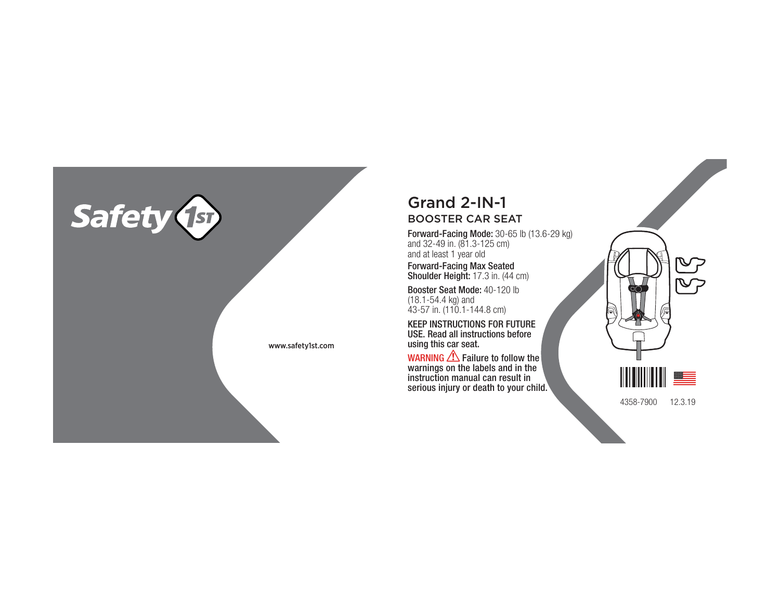

## Grand 2-IN-1BOOSTER CAR SEAT

Forward-Facing Mode: 30-65 lb (13.6-29 kg) and 32-49 in. (81.3-125 cm) and at least 1 year old

Forward-Facing Max Seated **Shoulder Height:** 17.3 in. (44 cm)

Booster Seat Mode: 40-120 lb (18.1-54.4 kg) and 43-57 in. (110.1-144.8 cm)

KEEP INSTRUCTIONS FOR FUTURE USE. Read all instructions before using this car seat.

WARNING ZIN Failure to follow the Markings on the labels and in the  $\mid$ instruction manual can result in serious injury or death to your child. 4358-7900 12.3.19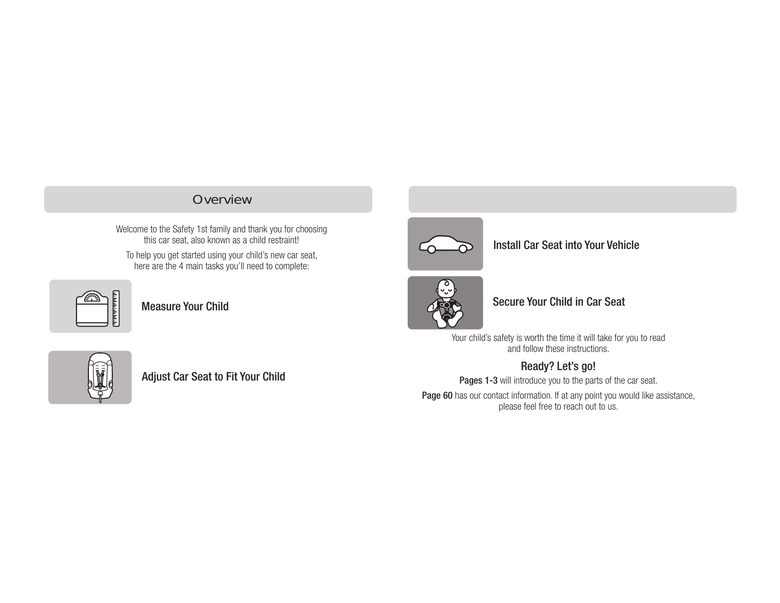## **Overview**

Welcome to the Safety 1st family and thank you for choosing this car seat, also known as a child restraint!

To help you get started using your child's new car seat, here are the 4 main tasks you'll need to complete:



Measure Your Child



## Install Car Seat into Your Vehicle



#### Secure Your Child in Car Seat

Your child's safety is worth the time it will take for you to read and follow these instructions.

## Ready? Let's go!

Pages 1-3 will introduce you to the parts of the car seat. Page 60 has our contact information. If at any point you would like assistance, please feel free to reach out to us.



Adjust Car Seat to Fit Your Child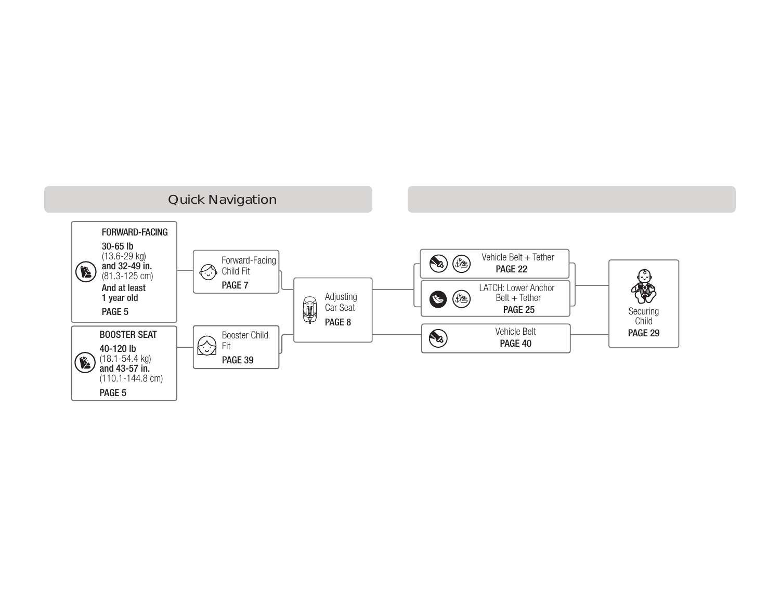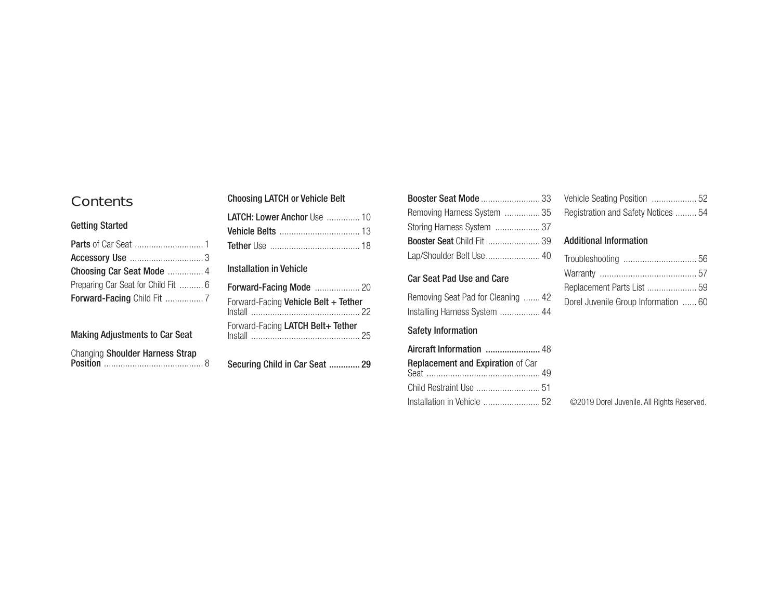## Contents

#### Getting Started

| Choosing Car Seat Mode  4           |  |
|-------------------------------------|--|
| Preparing Car Seat for Child Fit  6 |  |
|                                     |  |

## Making Adjustments to Car Seat

| Changing Shoulder Harness Strap |  |
|---------------------------------|--|
|                                 |  |

#### Choosing LATCH or Vehicle Belt

| LATCH: Lower Anchor Use  10 |  |
|-----------------------------|--|
|                             |  |
|                             |  |
|                             |  |

#### Installation in Vehicle

| Forward-Facing Vehicle Belt + Tether |  |
|--------------------------------------|--|
| Forward-Facing LATCH Belt+ Tether    |  |

Securing Child in Car Seat ............. 29

| Removing Harness System  35        |
|------------------------------------|
| Storing Harness System  37         |
| <b>Booster Seat Child Fit  39</b>  |
| Lap/Shoulder Belt Use 40           |
| <b>Car Seat Pad Use and Care</b>   |
| Removing Seat Pad for Cleaning  42 |
| Installing Harness System  44      |

#### Safety Information

| Aircraft Information  48          |  |
|-----------------------------------|--|
| Replacement and Expiration of Car |  |
|                                   |  |
|                                   |  |

| Registration and Safety Notices  54 |  |
|-------------------------------------|--|

#### Additional Information

| Replacement Parts List  59           |  |
|--------------------------------------|--|
| Dorel Juvenile Group Information  60 |  |
|                                      |  |

©2019 Dorel Juvenile. All Rights Reserved.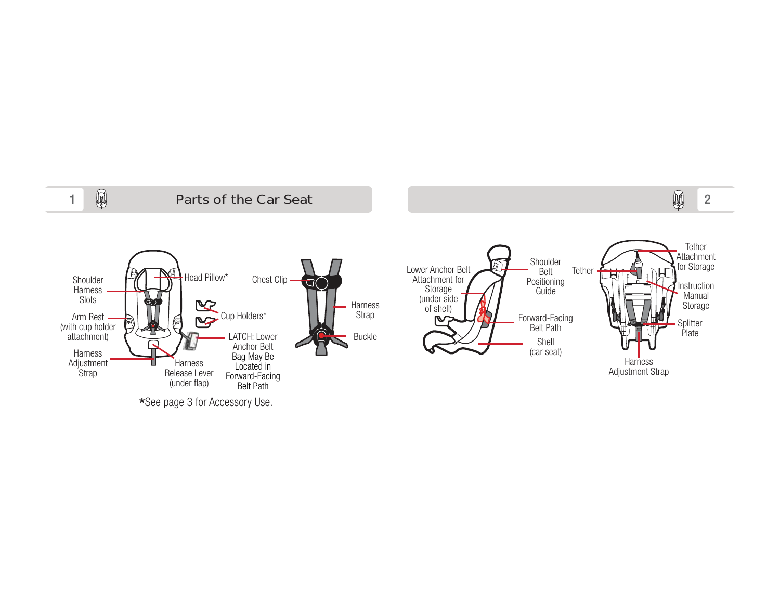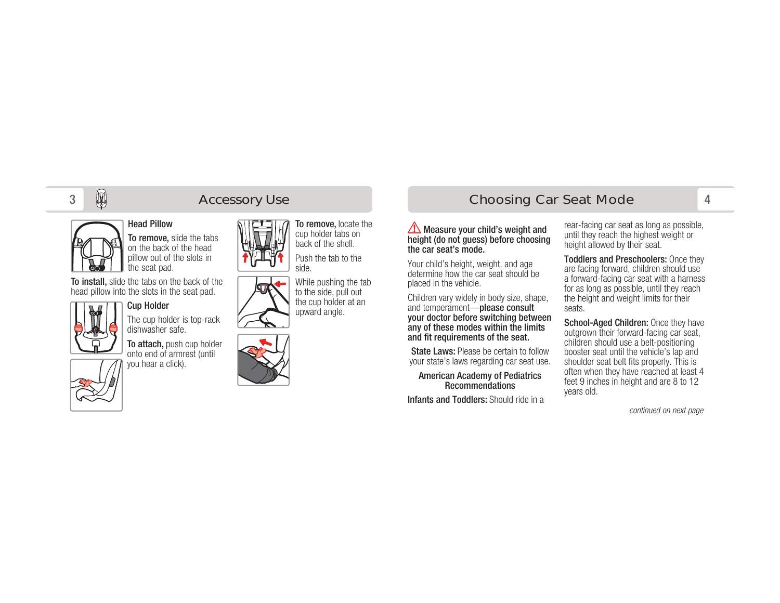#### Head Pillow

To remove, slide the tabs on the back of the head pillow out of the slots in the seat pad.

To install, slide the tabs on the back of the head pillow into the slots in the seat pad.



## Cup Holder

dishwasher safe.

onto end of armrest (until you hear a click).



The cup holder is top-rack

To attach, push cup holder





While pushing the tab to the side, pull out the cup holder at an upward angle.



# **Accessory Use Choosing Car Seat Mode**

## 4

Measure your child's weight and height (do not guess) before choosing the car seat's mode.

Your child's height, weight, and age determine how the car seat should be placed in the vehicle.

Children vary widely in body size, shape, and temperament—please consult your doctor before switching between any of these modes within the limits and fit requirements of the seat.

**State Laws: Please be certain to follow** your state's laws regarding car seat use.

American Academy of Pediatrics Recommendations

Infants and Toddlers: Should ride in a

rear-facing car seat as long as possible, until they reach the highest weight or height allowed by their seat.

Toddlers and Preschoolers: Once they are facing forward, children should use a forward-facing car seat with a harness for as long as possible, until they reach the height and weight limits for their seats.

School-Aged Children: Once they have outgrown their forward-facing car seat, children should use a belt-positioning booster seat until the vehicle's lap and shoulder seat belt fits properly. This is often when they have reached at least 4 feet 9 inches in height and are 8 to 12 years old.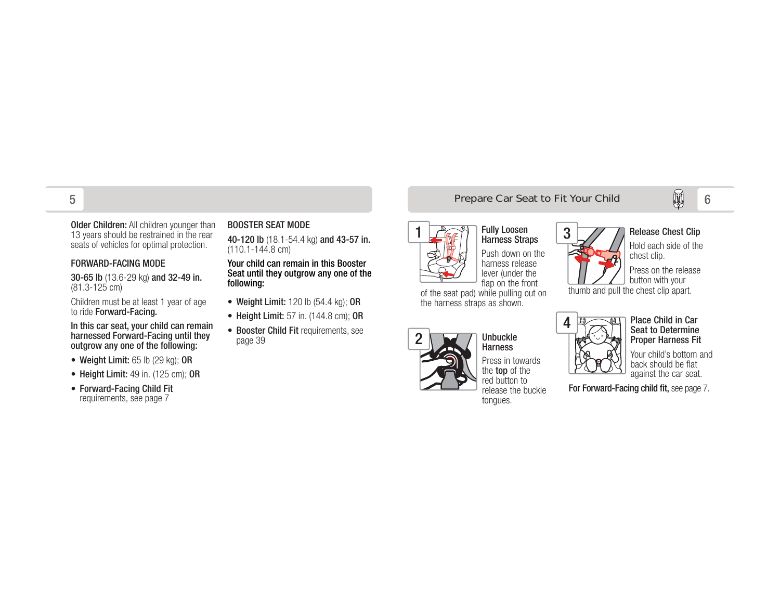Older Children: All children younger than 13 years should be restrained in the rear seats of vehicles for optimal protection.

#### FORWARD-FACING MODE

30-65 lb (13.6-29 kg) and 32-49 in. (81.3-125 cm)

Children must be at least 1 year of age to ride Forward-Facing.

In this car seat, your child can remain harnessed Forward-Facing until they outgrow any one of the following:

- Weight Limit: 65 lb (29 kg); OR
- Height Limit: 49 in. (125 cm); OR
- Forward-Facing Child Fit requirements, see page 7

#### BOOSTER SEAT MODE

40-120 lb (18.1-54.4 kg) and 43-57 in. (110.1-144.8 cm)

#### Your child can remain in this Booster Seat until they outgrow any one of the following:

- Weight Limit:  $120$  lb  $(54.4 \text{ kg})$ ; OR
- Height Limit: 57 in. (144.8 cm); OR
- Booster Child Fit requirements, see page 39

# Prepare Car Seat to Fit Your Child **6** 6



Push down on the harness release lever (under the flap on the front

of the seat pad) while pulling out on the harness straps as shown.





Unbuckle

#### Release Chest Clip

Hold each side of the chest clip.

Press on the release button with your

thumb and pull the chest clip apart.



Place Child in Car Seat to Determine Proper Harness Fit

Your child's bottom and back should be flat against the car seat.

For Forward-Facing child fit, see page 7.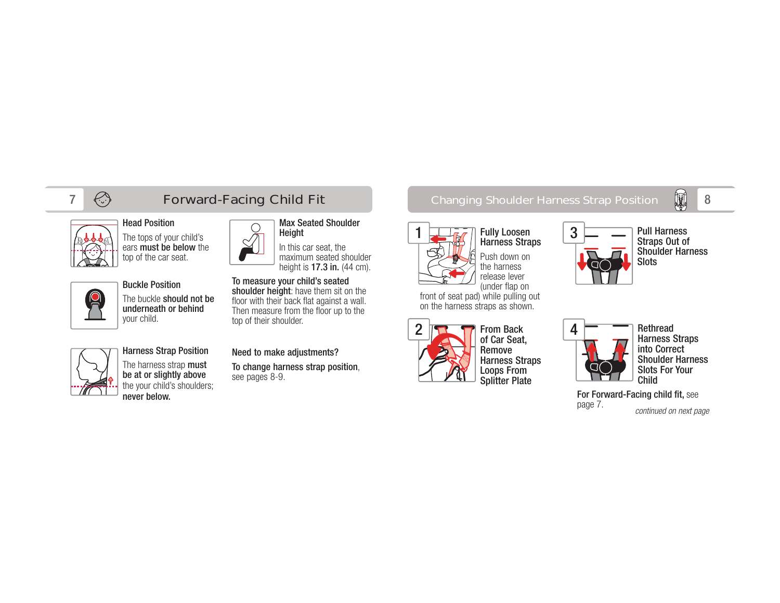



## Head Position

The tops of your child's ears **must be below** the top of the car seat.



#### Buckle PositionThe buckle should not be underneath or behind your child.

Harness Strap Position The harness strap **must** be at or slightly above the your child's shoulders; never below.

#### Need to make adjustments?

top of their shoulder.

Height

To measure your child's seated shoulder height: have them sit on the floor with their back flat against a wall. Then measure from the floor up to the

To change harness strap position, see pages 8-9.

Max Seated Shoulder

In this car seat, the maximum seated shoulder height is **17.3 in.** (44 cm).

## $7 \quad \Leftrightarrow \qquad \qquad$  Forward-Facing Child Fit  $\qquad \qquad \qquad \qquad$  Changing Shoulder Harness Strap Position  $\quad$   $\qquad$



Harness Straps Push down on the harness release lever (under flap on

front of seat pad) while pulling out on the harness straps as shown.



From Back of Car Seat, Remove Harness Straps Loops From Splitter Plate



Pull Harness Straps Out of Shoulder Harness Slots



Rethread Harness Straps into Correct Shoulder Harness Slots For Your Child

For Forward-Facing child fit, see page 7. continued on next page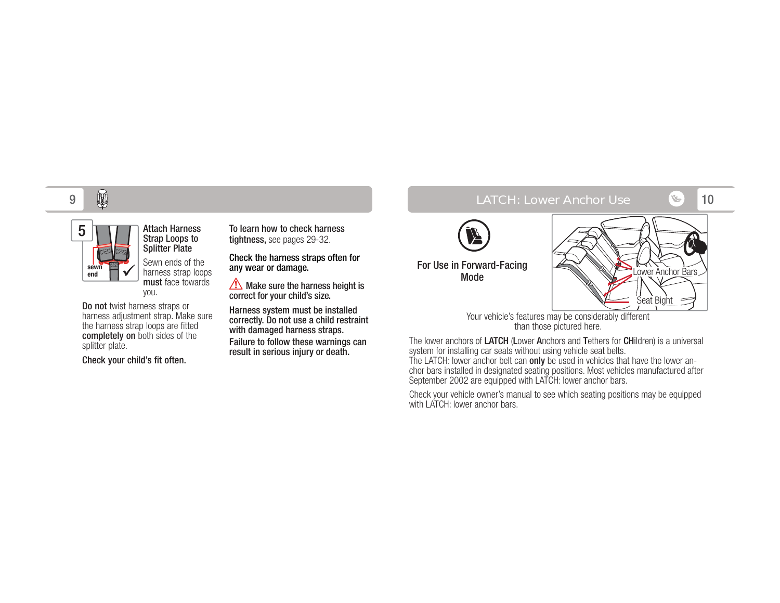

you. Do not twist harness straps or harness adjustment strap. Make sure the harness strap loops are fitted completely on both sides of the splitter plate.

Attach Harness Strap Loops to Splitter Plate Sewn ends of the harness strap loops must face towards

Check your child's fit often.

To learn how to check harness tightness, see pages 29-32.

Check the harness straps often for any wear or damage.

 $\sqrt{\phantom{a}}$  Make sure the harness height is correct for your child's size.

Harness system must be installed correctly. Do not use a child restraint with damaged harness straps.

Failure to follow these warnings can result in serious injury or death.

#### 10 LATCH: Lower Anchor Use



For Use in Forward-Facing Mode



Your vehicle's features may be considerably different than those pictured here.

The lower anchors of LATCH (Lower Anchors and Tethers for CHildren) is a universal system for installing car seats without using vehicle seat belts. The LATCH: lower anchor belt can **only** be used in vehicles that have the lower anchor bars installed in designated seating positions. Most vehicles manufactured after September 2002 are equipped with LATCH: lower anchor bars.

Check your vehicle owner's manual to see which seating positions may be equipped with LATCH: lower anchor bars.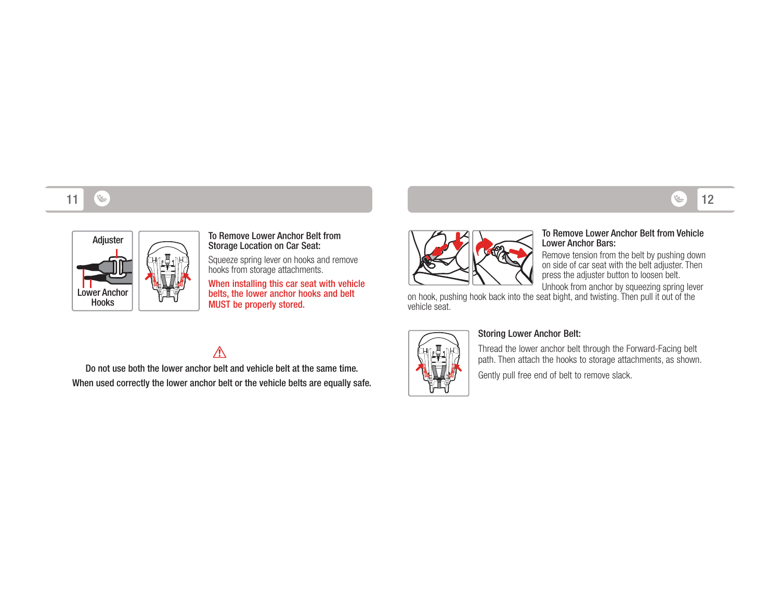#### 1112 (خلاف) المستخدم المستخدم المستخدم المستخدم المستخدم المستخدم المستخدم المستخدم المستخدم المستخدم المستخدم ا



# Adjuster To Remove Lower Anchor Belt from<br>Storage Location on Car Seat:

Squeeze spring lever on hooks and remove hooks from storage attachments.

When installing this car seat with vehicle belts, the lower anchor hooks and belt MUST be properly stored.



#### To Remove Lower Anchor Belt from Vehicle Lower Anchor Bars:

 Remove tension from the belt by pushing down on side of car seat with the belt adjuster. Then press the adjuster button to loosen belt.

Unhook from anchor by squeezing spring lever on hook, pushing hook back into the seat bight, and twisting. Then pull it out of the vehicle seat.



#### Storing Lower Anchor Belt:

Thread the lower anchor belt through the Forward-Facing belt path. Then attach the hooks to storage attachments, as shown.

Gently pull free end of belt to remove slack.

## $\triangle$

Do not use both the lower anchor belt and vehicle belt at the same time. When used correctly the lower anchor belt or the vehicle belts are equally safe.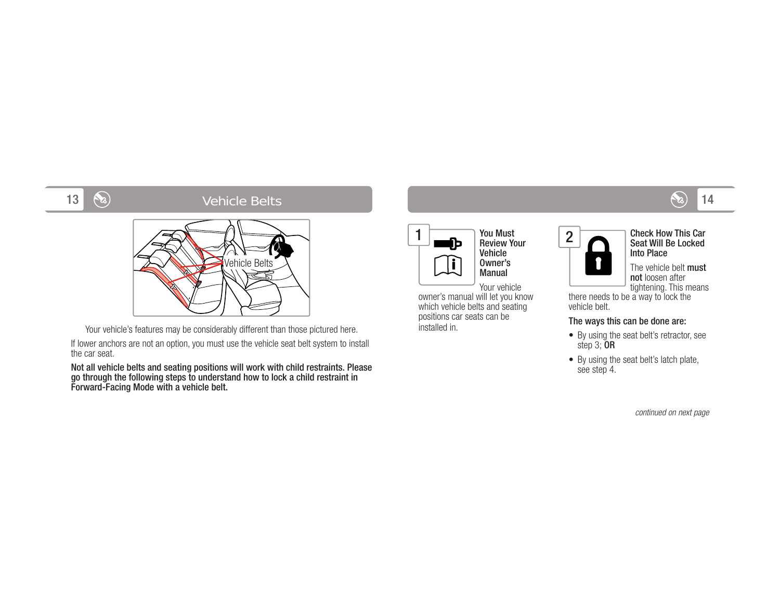#### 14 Vehicle Belts



Your vehicle's features may be considerably different than those pictured here.

If lower anchors are not an option, you must use the vehicle seat belt system to install the car seat.

Not all vehicle belts and seating positions will work with child restraints. Please go through the following steps to understand how to lock a child restraint in Forward-Facing Mode with a vehicle belt.

| D | You Must<br><b>Review Your</b>             |  |
|---|--------------------------------------------|--|
|   | <b>Vehicle</b><br>Owner's<br><b>Manual</b> |  |
|   | Vour vohiolo                               |  |

Your vehicle

 owner's manual will let you know which vehicle belts and seating positions car seats can be installed in.



Check How This Car Seat Will Be Locked Into Place

The vehicle belt must not loosen after tightening. This means

there needs to be a way to lock the vehicle belt.

#### The ways this can be done are:

- By using the seat belt's retractor, see step 3; OR
- By using the seat belt's latch plate, see step 4.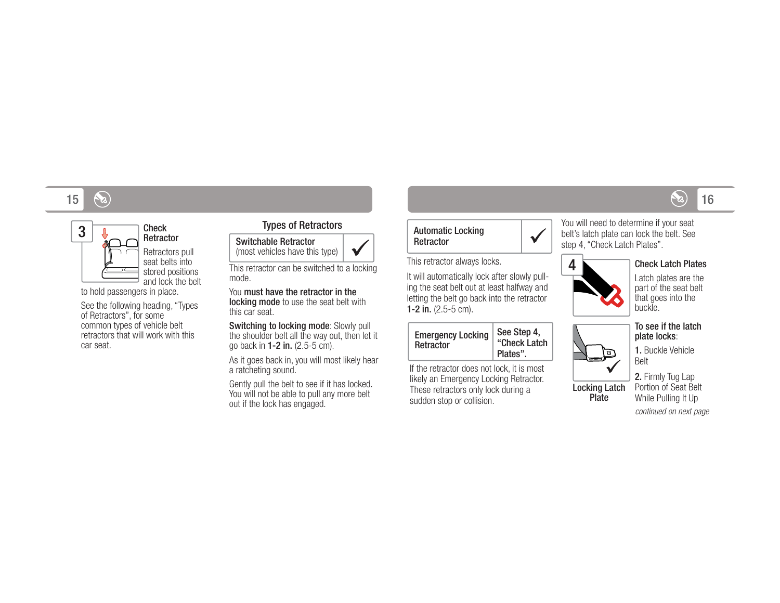#### 15 $5 \text{ (a)}$  16



#### Check **Retractor** Retractors pull

seat belts into stored positions and lock the belt

to hold passengers in place.

See the following heading, "Types of Retractors", for some common types of vehicle belt retractors that will work with this car seat.

#### Types of Retractors



This retractor can be switched to a locking mode.

You must have the retractor in the locking mode to use the seat belt with this car seat.

Switching to locking mode: Slowly pull the shoulder belt all the way out, then let it go back in 1-2 in. (2.5-5 cm).

As it goes back in, you will most likely hear a ratcheting sound.

Gently pull the belt to see if it has locked. You will not be able to pull any more belt out if the lock has engaged.

#### Automatic Locking Retractor

This retractor always locks.

It will automatically lock after slowly pulling the seat belt out at least halfway and letting the belt go back into the retractor 1-2 in.  $(2.5-5 \text{ cm})$ .

| <b>Emergency Locking</b><br>Retractor | See Step 4,<br>"Check Latch<br>Plates". |
|---------------------------------------|-----------------------------------------|
|---------------------------------------|-----------------------------------------|

If the retractor does not lock, it is most likely an Emergency Locking Retractor. These retractors only lock during a sudden stop or collision.

You will need to determine if your seat belt's latch plate can lock the belt. See step 4, "Check Latch Plates".



 $\checkmark$ 

#### Check Latch Plates

Latch plates are the part of the seat belt that goes into the buckle.

#### To see if the latch plate locks:



Plate

Locking Latch Belt2. Firmly Tug Lap Portion of Seat Belt

While Pulling It Up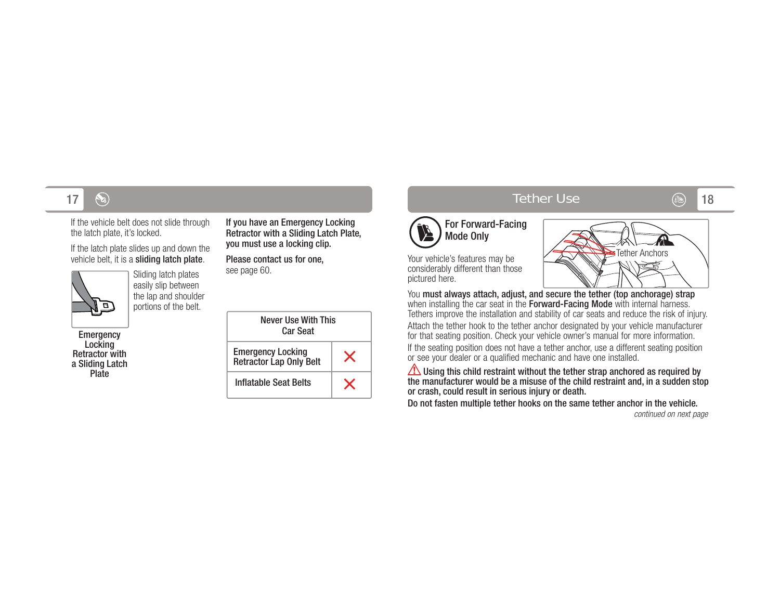If the vehicle belt does not slide through the latch plate, it's locked.

If the latch plate slides up and down the vehicle belt, it is a sliding latch plate.



Sliding latch plates easily slip between the lap and shoulder portions of the belt.

Emergency Locking Retractor with a Sliding Latch Plate

If you have an Emergency Locking Retractor with a Sliding Latch Plate, you must use a locking clip.

Please contact us for one, see page 60.

| Never Use With This<br>Car Seat                     |  |
|-----------------------------------------------------|--|
| <b>Emergency Locking</b><br>Retractor Lap Only Belt |  |
| Inflatable Seat Belts                               |  |

## $7 \quad \, \circledast$  18



Your vehicle's features may be considerably different than those pictured here.

**SER** 



You must always attach, adjust, and secure the tether (top anchorage) strap when installing the car seat in the **Forward-Facing Mode** with internal harness. Tethers improve the installation and stability of car seats and reduce the risk of injury. Attach the tether hook to the tether anchor designated by your vehicle manufacturer for that seating position. Check your vehicle owner's manual for more information.

If the seating position does not have a tether anchor, use a different seating position or see your dealer or a qualified mechanic and have one installed.

Using this child restraint without the tether strap anchored as required by the manufacturer would be a misuse of the child restraint and, in a sudden stop or crash, could result in serious injury or death.

Do not fasten multiple tether hooks on the same tether anchor in the vehicle.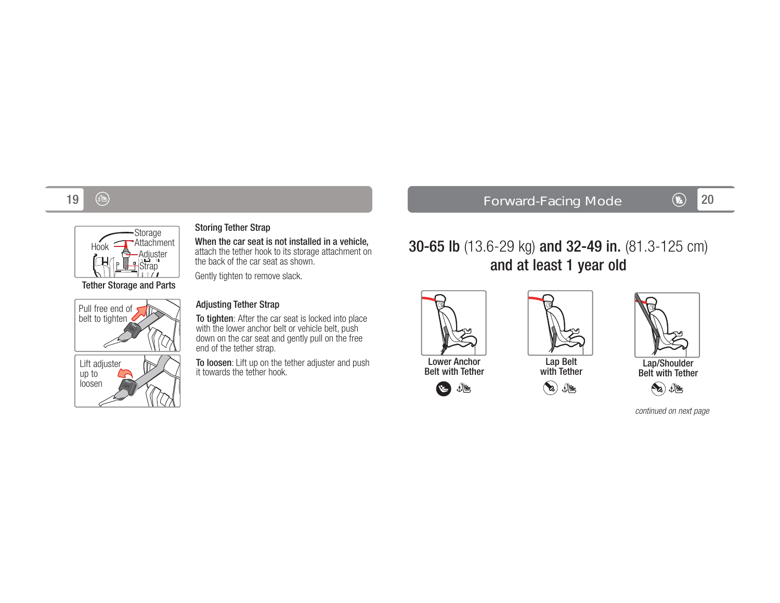#### 193 ③ Forward-Facing Mode <mark>④ 20</mark>



Pull free end of belt to tighten

Lift adjuster up to loosen

#### When the car seat is not installed in a vehicle,

attach the tether hook to its storage attachment on the back of the car seat as shown.

Gently tighten to remove slack.

## Adjusting Tether Strap

Storing Tether Strap

To tighten: After the car seat is locked into place with the lower anchor belt or vehicle belt, push down on the car seat and gently pull on the free end of the tether strap.

**To loosen**: Lift up on the tether adjuster and push it towards the tether hook.

30-65 lb (13.6-29 kg) and 32-49 in. (81.3-125 cm) and at least 1 year old



 $\mathbf{v}$ 





Lap/Shoulder Belt with Tether



continued on next page



with Tether

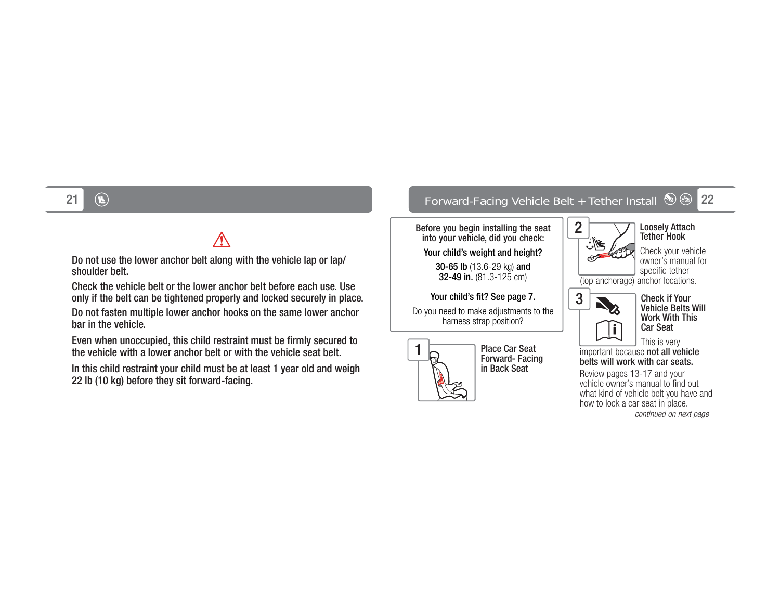# $\bigwedge$

Do not use the lower anchor belt along with the vehicle lap or lap/ shoulder belt.

Check the vehicle belt or the lower anchor belt before each use. Use only if the belt can be tightened properly and locked securely in place.

Do not fasten multiple lower anchor hooks on the same lower anchor bar in the vehicle.

Even when unoccupied, this child restraint must be firmly secured to the vehicle with a lower anchor belt or with the vehicle seat belt.

In this child restraint your child must be at least 1 year old and weigh 22 lb (10 kg) before they sit forward-facing.

## 1 ① Forward-Facing Vehicle Belt + Tether Install ② ③ <mark>22</mark>

2

اءِ⊁

Before you begin installing the seat into your vehicle, did you check:

Your child's weight and height?

30-65 lb (13.6-29 kg) and 32-49 in.  $(81.3-125 \text{ cm})$ 

Your child's fit? See page 7.

Do you need to make adjustments to the harness strap position?



Place Car Seat Forward- Facing in Back Seat



Check your vehicle owner's manual for specific tether

(top anchorage) anchor locations.



Check if Your Vehicle Belts Will Work With This Car Seat

This is very important because not all vehicle belts will work with car seats.

Review pages 13-17 and your vehicle owner's manual to find out what kind of vehicle belt you have and how to lock a car seat in place. continued on next page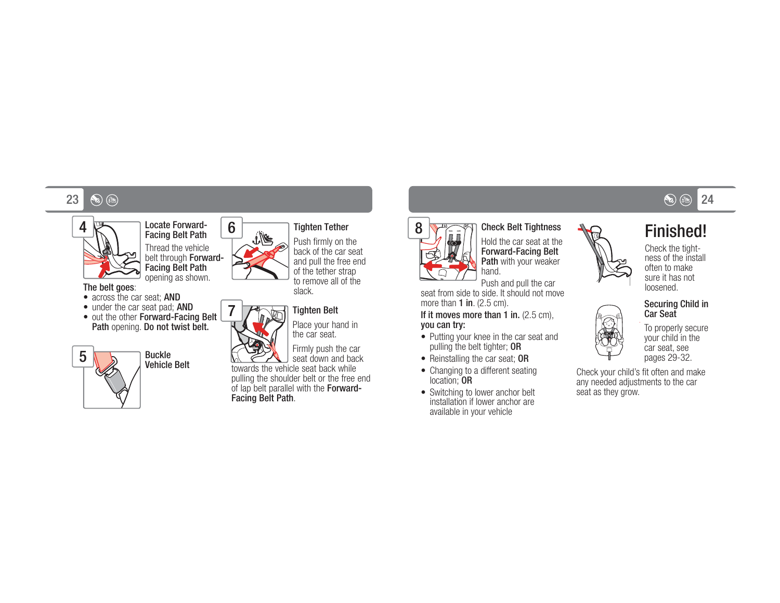#### 23 $3$  (%) (%)  $\infty$  (%)  $24$



Thread the vehicle belt through Forward-Facing Belt Path opening as shown.

Locate Forward-Facing Belt Path

The belt goes:

- across the car seat: **AND**
- under the car seat pad; AND • out the other Forward-Facing Belt
- Path opening. Do not twist belt.





7

#### Tighten Tether

Push firmly on the back of the car seat and pull the free end of the tether strap to remove all of the slack.



Place your hand in

Firmly push the car seat down and back towards the vehicle seat back while

 pulling the shoulder belt or the free end of lap belt parallel with the Forward-Facing Belt Path.



## Check Belt Tightness

Hold the car seat at the Forward-Facing Belt Path with your weaker hand.

Push and pull the car seat from side to side. It should not move more than  $1$  in. (2.5 cm).

 $\overline{S}$   $\overline{S}$   $\overline{S}$   $\overline{S}$   $\overline{S}$   $\overline{S}$   $\overline{S}$   $\overline{S}$   $\overline{S}$   $\overline{S}$   $\overline{S}$   $\overline{S}$   $\overline{S}$   $\overline{S}$   $\overline{S}$   $\overline{S}$   $\overline{S}$   $\overline{S}$   $\overline{S}$   $\overline{S}$   $\overline{S}$   $\overline{S}$   $\overline{S}$   $\overline{S}$   $\overline{$ you can try:

- Putting your knee in the car seat and pulling the belt tighter; OR
- Reinstalling the car seat: OR
- Changing to a different seating location; OR
- Switching to lower anchor belt installation if lower anchor are available in your vehicle









Check your child's fit often and make any needed adjustments to the car seat as they grow.

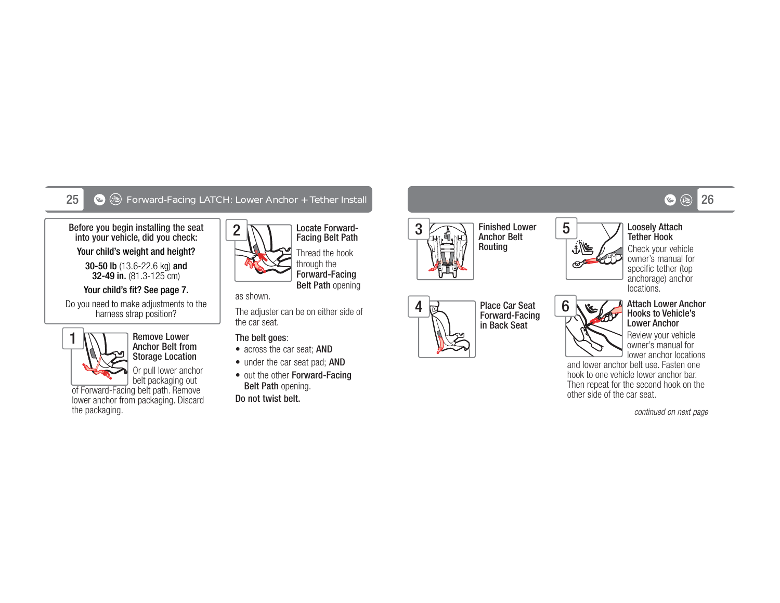#### 25Forward-Facing LATCH: Lower Anchor + Tether Install 26

2

Before you begin installing the seat into your vehicle, did you check:

Your child's weight and height?

30-50 lb (13.6-22.6 kg) and **32-49 in.** (81.3-125 cm)

#### Your child's fit? See page 7.

Do you need to make adjustments to the harness strap position?



#### Remove Lower Anchor Belt from Storage Location

Or pull lower anchor

belt packaging out of Forward-Facing belt path. Remove lower anchor from packaging. Discard the packaging.



Locate Forward-Facing Belt Path Thread the hook through the Forward-Facing Belt Path opening

#### as shown.

The adjuster can be on either side of the car seat.

#### The belt goes:

- across the car seat; AND
- under the car seat pad; AND
- out the other Forward-Facing Belt Path opening.

Do not twist belt.



Finished Lower Anchor Belt Routing



Place Car Seat Forward-Facing in Back Seat



5

#### Tether HookCheck your vehicle owner's manual for specific tether (top anchorage) anchor

locations.



#### Attach Lower Anchor Hooks to Vehicle's Lower Anchor

Review your vehicle owner's manual for lower anchor locations

and lower anchor belt use. Fasten one hook to one vehicle lower anchor bar. Then repeat for the second hook on the other side of the car seat.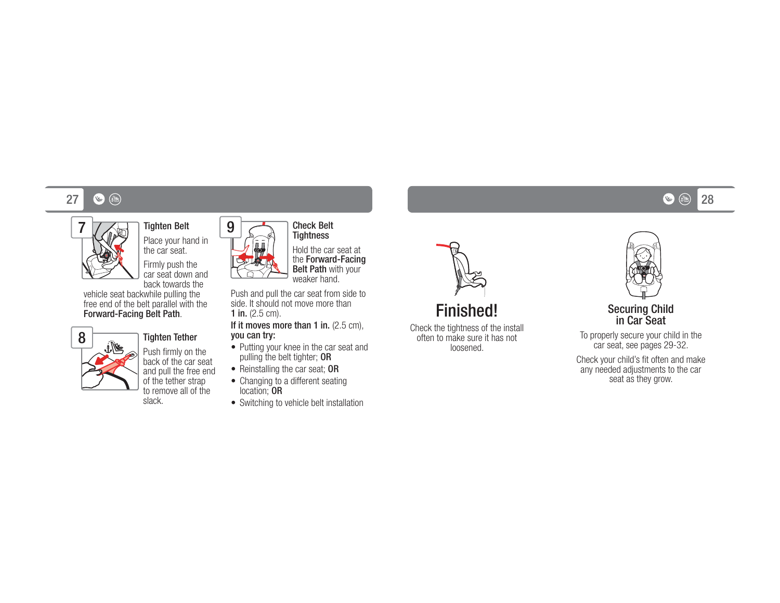#### 277 (C) (C) and the contract of the contract of the contract of the contract of the contract of the contract of the  $(28$



#### Tighten Belt Place your hand in

the car seat. Firmly push the car seat down and

back towards the vehicle seat backwhile pulling the free end of the belt parallel with the Forward-Facing Belt Path.



#### Tighten Tether

Push firmly on the back of the car seat and pull the free end of the tether strap to remove all of the slack.



9

Hold the car seat at the Forward-Facing Belt Path with your weaker hand.

Push and pull the car seat from side to side. It should not move more than 1 in. (2.5 cm).

If it moves more than 1 in. (2.5 cm), you can try:

- Putting your knee in the car seat and pulling the belt tighter; OR
- Reinstalling the car seat; OR
- Changing to a different seating location; OR
- Switching to vehicle belt installation



Check the tightness of the install often to make sure it has not loosened.





To properly secure your child in the car seat, see pages 29-32.

Check your child's fit often and make any needed adjustments to the car seat as they grow.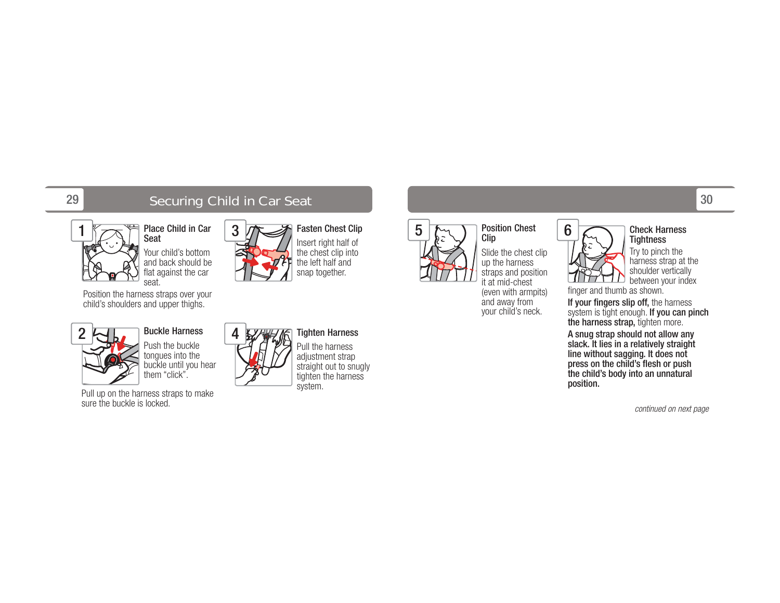2

## Securing Child in Car Seat 30 and 30 and 30 and 30 and 30 and 30 and 30 and 30 and 30 and 30 and 30 and 30 and 30 and 30 and 30 and 30 and 30 and 30 and 30 and 30 and 30 and 30 and 30 and 30 and 30 and 30 and 30 and 30 and

4



Your child's bottom and back should be flat against the car

Position the harness straps over your child's shoulders and upper thighs.



#### Buckle Harness

Push the buckle tongues into the buckle until you hear them "click".

Pull up on the harness straps to make sure the buckle is locked.



#### Insert right half of the chest clip into the left half and snap together.

Tighten Harness Pull the harness adjustment strap straight out to snugly tighten the harness

system.

# Clip

Slide the chest clip up the harness straps and position it at mid-chest (even with armpits) and away from your child's neck.

Position Chest

6

#### Check Harness **Tightness**

Try to pinch the harness strap at the shoulder vertically between your index

finger and thumb as shown.

If your fingers slip off, the harness system is tight enough. **If you can pinch the harness strap,** tighten more.

A snug strap should not allow any slack. It lies in a relatively straight line without sagging. It does not press on the child's flesh or push the child's body into an unnatural position.





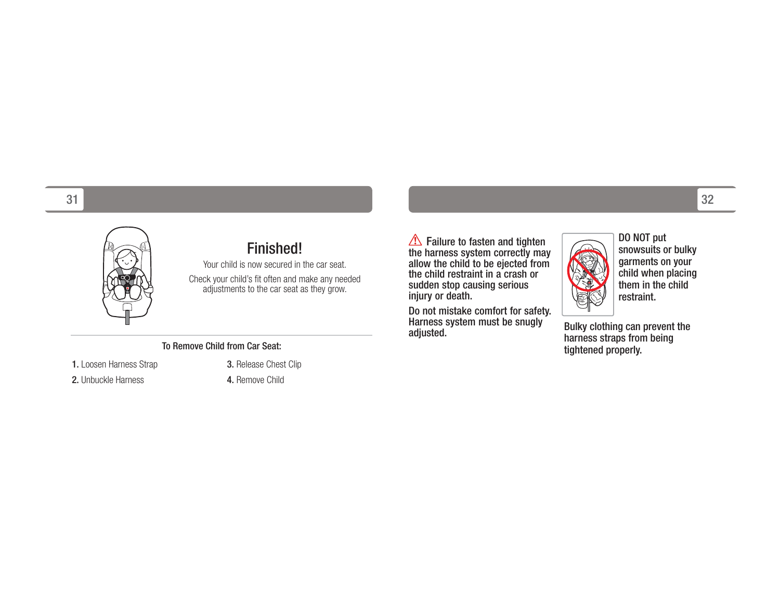

## Finished!

Your child is now secured in the car seat.Check your child's fit often and make any needed adjustments to the car seat as they grow.

#### To Remove Child from Car Seat:

1. Loosen Harness Strap

2. Unbuckle Harness

3. Release Chest Clip 4. Remove Child

Failure to fasten and tighten the harness system correctly may allow the child to be ejected from the child restraint in a crash or sudden stop causing serious injury or death.

Do not mistake comfort for safety. Harness system must be snugly adjusted.



DO NOT put snowsuits or bulky garments on your child when placing them in the child restraint.

Bulky clothing can prevent the harness straps from being tightened properly.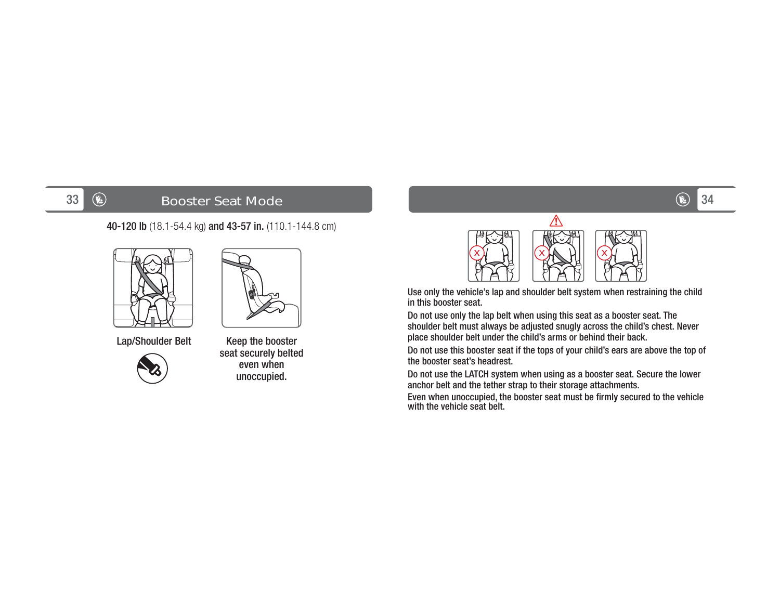## **Booster Seat Mode**

40-120 lb (18.1-54.4 kg) and 43-57 in. (110.1-144.8 cm)





Lap/Shoulder Belt Keep the booster



seat securely belted even when unoccupied.



Use only the vehicle's lap and shoulder belt system when restraining the child in this booster seat.

Do not use only the lap belt when using this seat as a booster seat. The shoulder belt must always be adjusted snugly across the child's chest. Never place shoulder belt under the child's arms or behind their back.

Do not use this booster seat if the tops of your child's ears are above the top of the booster seat's headrest.

Do not use the LATCH system when using as a booster seat. Secure the lower anchor belt and the tether strap to their storage attachments.

Even when unoccupied, the booster seat must be firmly secured to the vehicle with the vehicle seat belt.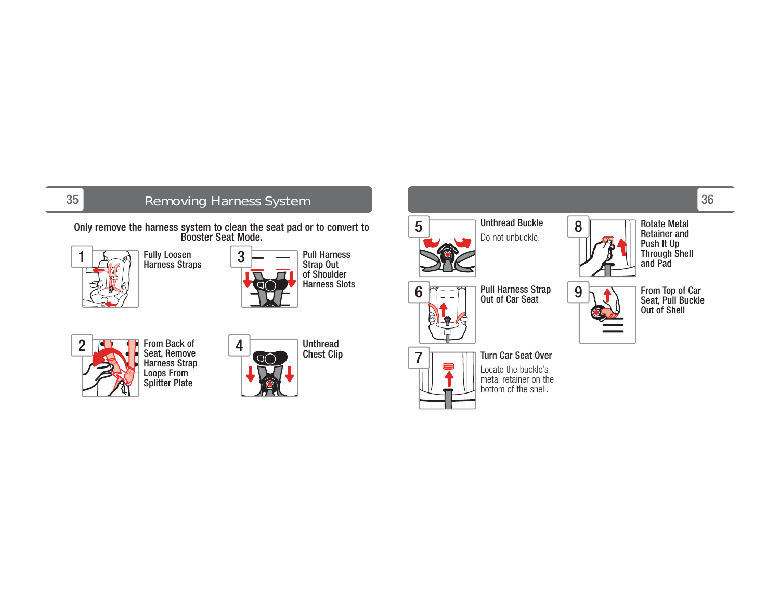## Removing Harness System and the state of the state of the state of the state of the state of the state of the state of the state of the state of the state of the state of the state of the state of the state of the state of

Only remove the harness system to clean the seat pad or to convert to Booster Seat Mode.



Fully Loosen







Unthread Chest Clip



Unthread Buckle Do not unbuckle.



9

Rotate Metal

 Retainer and Push It Up Through Shell and Pad

From Top of Car Seat, Pull Buckle Out of Shell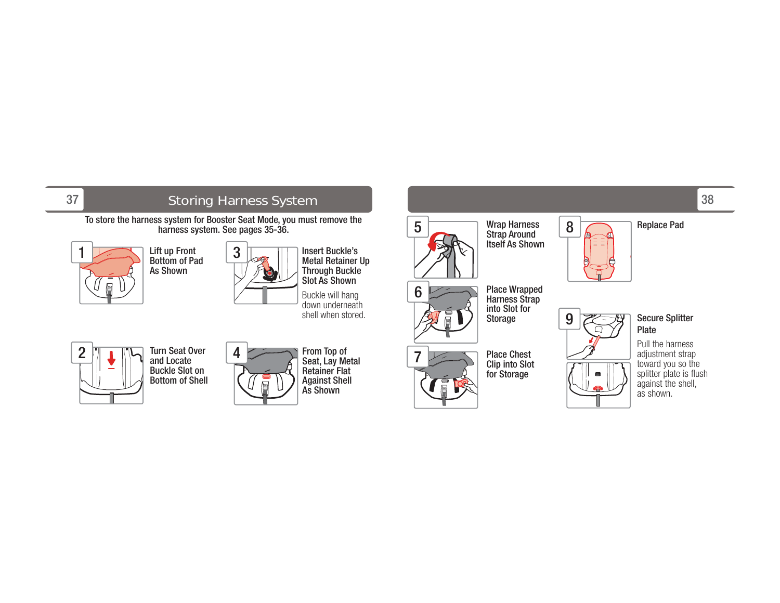## 38 Storing Harness System

To store the harness system for Booster Seat Mode, you must remove the harness system. See pages 35-36.



Lift up Front Bottom of Pad As Shown



Insert Buckle's Metal Retainer Up Through Buckle Slot As Shown

Buckle will hang down underneath shell when stored.





From Top of Seat, Lay Metal Retainer Flat Against Shell As Shown



7

Wrap Harness Strap Around Itself As Shown

Place Wrapped Harness Strap into Slot for Storage





## Secure Splitter Plate

Pull the harness adjustment strap toward you so the splitter plate is flush against the shell, as shown.



Place Chest Clip into Slot for Storage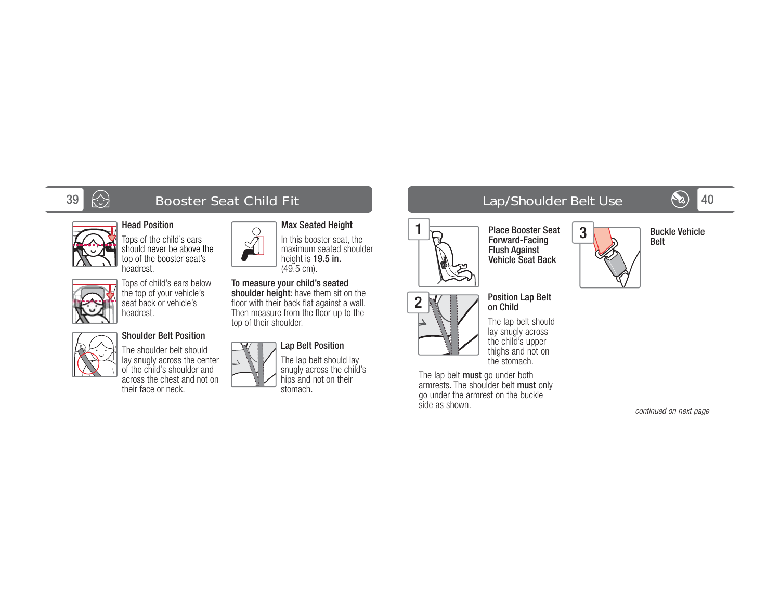# $\bigotimes$  Booster Seat Child Fit



## Head Position

Tops of the child's ears should never be above the top of the booster seat's headrest.



# headrest.

## Shoulder Belt Position

The shoulder belt should lay snugly across the center of the child's shoulder and across the chest and not on their face or neck.

#### shoulder height: have them sit on the floor with their back flat against a wall. Then measure from the floor up to the top of their shoulder.



 $\bigcirc$ 

#### Lap Belt Position The lap belt should lay snugly across the child's hips and not on their stomach.

Max Seated Height In this booster seat, the maximum seated shoulder height is 19.5 in. (49.5 cm). To measure your child's seated

## 40 Lap/Shoulder Belt Use

Position Lap Belt on Child

Forward-Facing Flush Against Vehicle Seat Back

The lap belt should lay snugly across the child's upper thighs and not on the stomach.

The lap belt **must** go under both armrests. The shoulder belt must only go under the armrest on the buckle

side as shown.

2

1



Buckle Vehicle Belt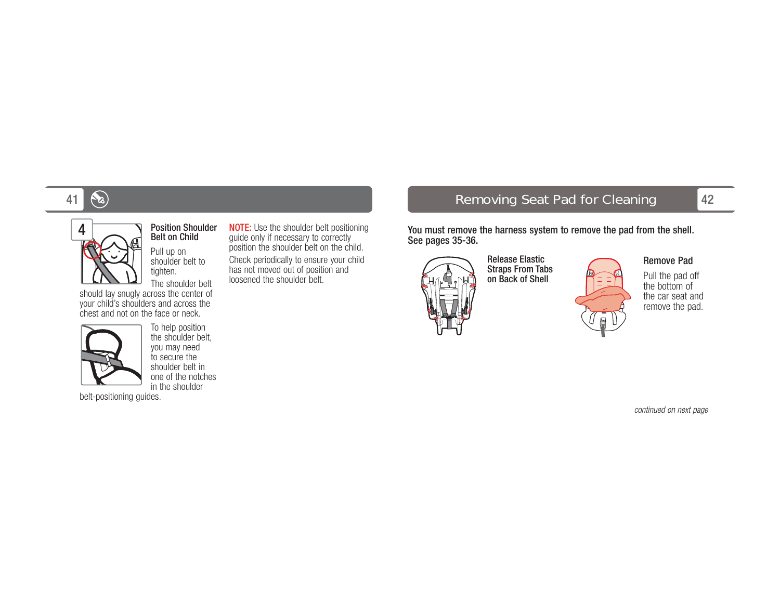



## Position Shoulder Belt on Child

Pull up on shoulder belt to tighten.

The shoulder belt should lay snugly across the center of your child's shoulders and across the chest and not on the face or neck.



To help position the shoulder belt, you may need to secure the shoulder belt in one of the notches in the shoulder

belt-positioning guides.

NOTE: Use the shoulder belt positioning guide only if necessary to correctly position the shoulder belt on the child. Check periodically to ensure your child has not moved out of position and loosened the shoulder belt.

42 Removing Seat Pad for Cleaning

You must remove the harness system to remove the pad from the shell.

See pages 35-36. Release Elastic Straps From Tabs on Back of Shell



Remove Pad

Pull the pad off the bottom of the car seat and remove the pad.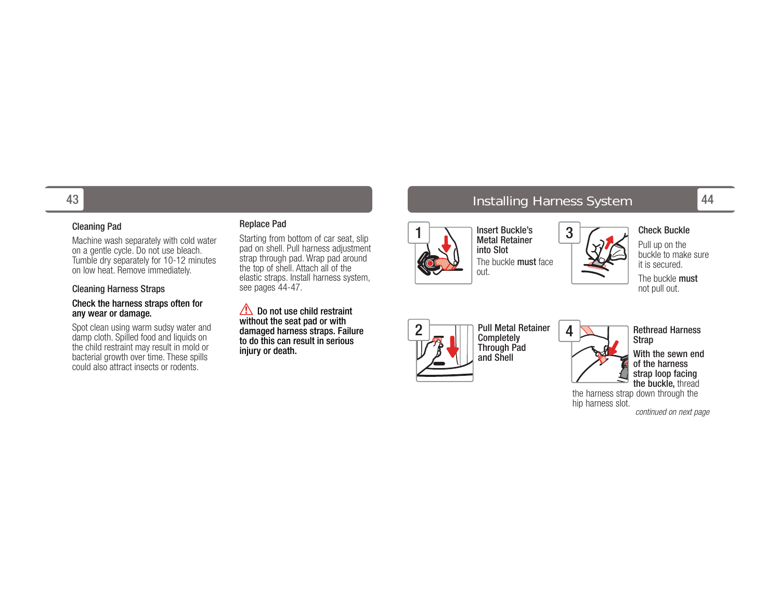#### Cleaning Pad

Machine wash separately with cold water on a gentle cycle. Do not use bleach. Tumble dry separately for 10-12 minutes on low heat. Remove immediately.

#### Cleaning Harness Straps

#### Check the harness straps often for any wear or damage.

Spot clean using warm sudsy water and damp cloth. Spilled food and liquids on the child restraint may result in mold or bacterial growth over time. These spills could also attract insects or rodents.

#### Replace Pad

Starting from bottom of car seat, slip pad on shell. Pull harness adjustment strap through pad. Wrap pad around the top of shell. Attach all of the elastic straps. Install harness system, see pages 44-47.

Do not use child restraint without the seat pad or with damaged harness straps. Failure to do this can result in serious injury or death.



 Metal Retainer into SlotThe buckle **must** face



Pull up on the buckle to make sure it is secured.

The buckle mustnot pull out.

Check Buckle



Pull Metal Retainer **Completely** Through Pad and Shell



Rethread Harness Strap With the sewn end of the harness strap loop facing the buckle, thread

the harness strap down through the hip harness slot.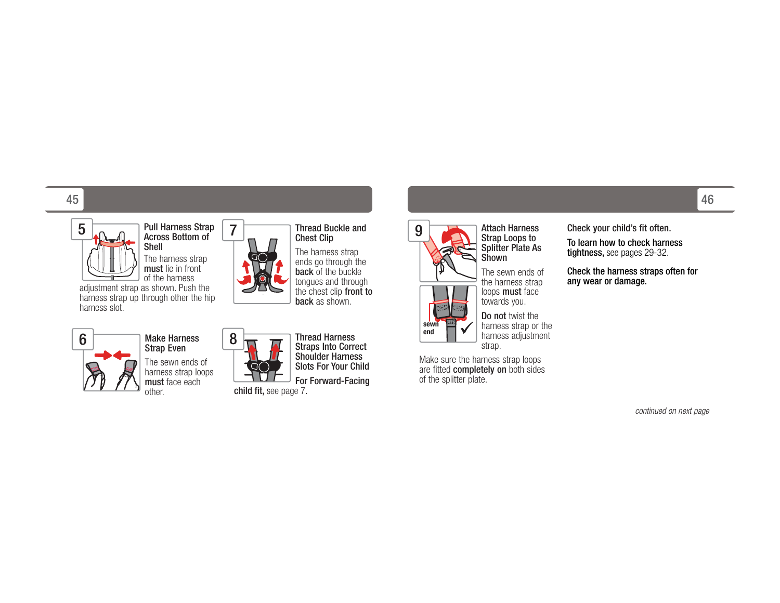#### 45 $5$  , the contract of the contract of the contract of the contract of the contract of the contract of  $46$



Pull Harness Strap Across Bottom of ShellThe harness strap

must lie in front of the harness

 adjustment strap as shown. Push the harness strap up through other the hip harness slot.



#### Make Harness Strap Even

The sewn ends of harness strap loops **must** face each other.



7

Thread Harness Straps Into Correct Shoulder Harness Slots For Your Child

For Forward-Facing



Thread Buckle and Chest Clip The harness strap ends go through the **back** of the buckle

 tongues and through the chest clip front to back as shown.

Shownthe harness strap loops must face towards you. harness strap or the harness adjustment strap. **sewn end**

9

Make sure the harness strap loops are fitted completely on both sides of the splitter plate.

Attach Harness Strap Loops to Splitter Plate As

The sewn ends of

**Do not** twist the

Check your child's fit often.

To learn how to check harness tightness, see pages 29-32.

Check the harness straps often for any wear or damage.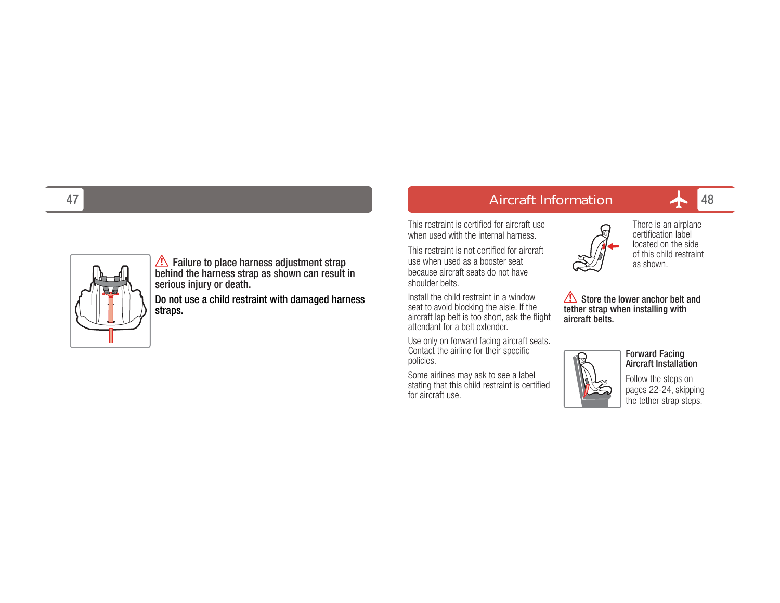

Failure to place harness adjustment strap behind the harness strap as shown can result in serious injury or death.

Do not use a child restraint with damaged harness straps.

Aircraft Information

This restraint is certified for aircraft use when used with the internal harness.

This restraint is not certified for aircraft use when used as a booster seat because aircraft seats do not have shoulder belts.

Install the child restraint in a window seat to avoid blocking the aisle. If the aircraft lap belt is too short, ask the flight attendant for a belt extender.

Use only on forward facing aircraft seats. Contact the airline for their specific policies.

Some airlines may ask to see a label stating that this child restraint is certified for aircraft use.



There is an airplane certification label located on the side of this child restraint as shown.

48

Store the lower anchor belt and tether strap when installing with aircraft belts.



Forward Facing Aircraft Installation

Follow the steps on pages 22-24, skipping the tether strap steps.

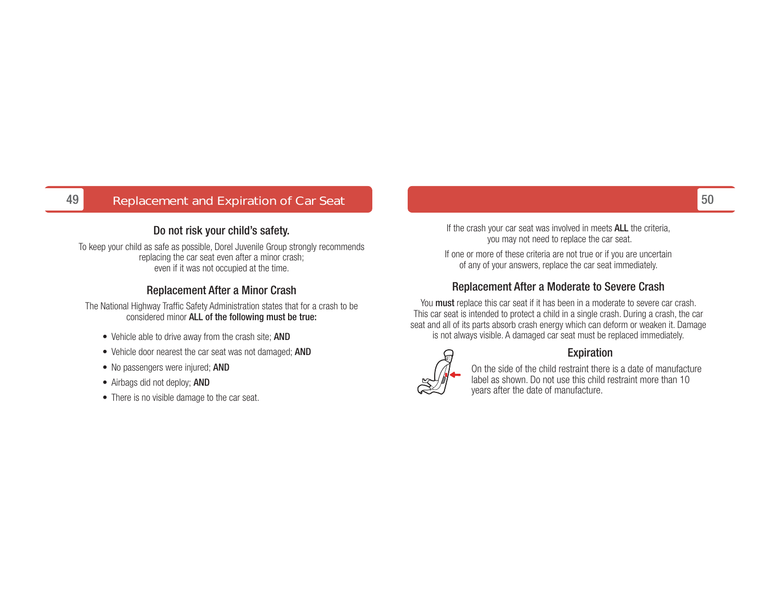#### 49Replacement and Expiration of Car Seat 50 Seat 50 Seat 50 Seat 50 Seat 50 Seat 50 Seat 50 Seat 50 Seat 50 Seat

#### Do not risk your child's safety.

To keep your child as safe as possible, Dorel Juvenile Group strongly recommends replacing the car seat even after a minor crash; even if it was not occupied at the time.

#### Replacement After a Minor Crash

The National Highway Traffic Safety Administration states that for a crash to be considered minor **ALL of the following must be true:** 

- Vehicle able to drive away from the crash site; AND
- Vehicle door nearest the car seat was not damaged; AND
- No passengers were injured; AND
- Airbags did not deploy; **AND**
- There is no visible damage to the car seat.

If the crash your car seat was involved in meets ALL the criteria, you may not need to replace the car seat.

If one or more of these criteria are not true or if you are uncertain of any of your answers, replace the car seat immediately.

#### Replacement After a Moderate to Severe Crash

You **must** replace this car seat if it has been in a moderate to severe car crash. This car seat is intended to protect a child in a single crash. During a crash, the car seat and all of its parts absorb crash energy which can deform or weaken it. Damage is not always visible. A damaged car seat must be replaced immediately.



#### Expiration

On the side of the child restraint there is a date of manufacture label as shown. Do not use this child restraint more than 10 years after the date of manufacture.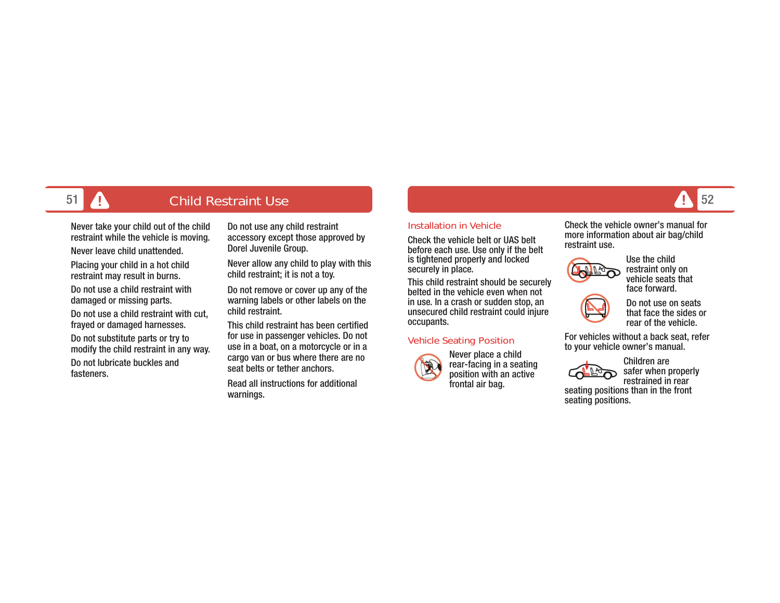#### **A** Child Restraint Use e and the state of the state of the state of the state of the state of the state of the state  $\sim$  52

Never take your child out of the child restraint while the vehicle is moving.

Never leave child unattended.

Placing your child in a hot child restraint may result in burns.

Do not use a child restraint with damaged or missing parts.

Do not use a child restraint with cut, frayed or damaged harnesses.

Do not substitute parts or try to modify the child restraint in any way. Do not lubricate buckles and fasteners.

Do not use any child restraint accessory except those approved by Dorel Juvenile Group.

Never allow any child to play with this child restraint; it is not a toy.

Do not remove or cover up any of the warning labels or other labels on the child restraint.

This child restraint has been certified for use in passenger vehicles. Do not use in a boat, on a motorcycle or in a cargo van or bus where there are no seat belts or tether anchors.

Read all instructions for additional warnings.

#### Installation in Vehicle

Check the vehicle belt or UAS belt before each use. Use only if the belt is tightened properly and locked securely in place.

This child restraint should be securely belted in the vehicle even when not in use. In a crash or sudden stop, an unsecured child restraint could injure occupants.

#### Vehicle Seating Position



Never place a child rear-facing in a seating position with an active frontal air bag.

Check the vehicle owner's manual for more information about air bag/child restraint use.



Use the child restraint only on vehicle seats that face forward.



For vehicles without a back seat, refer to your vehicle owner's manual.



Children are safer when properly restrained in rear

seating positions than in the front seating positions.

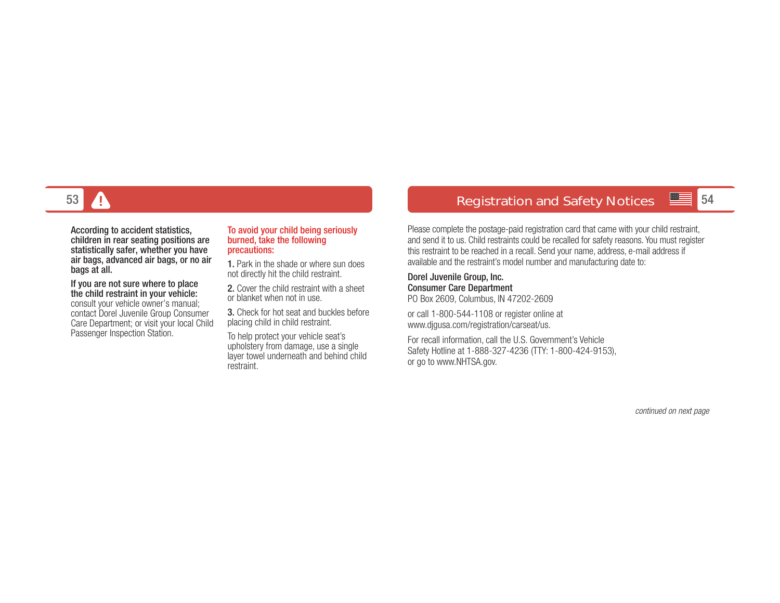

According to accident statistics, children in rear seating positions are statistically safer, whether you have air bags, advanced air bags, or no air bags at all.

If you are not sure where to place the child restraint in your vehicle: consult your vehicle owner's manual; contact Dorel Juvenile Group Consumer Care Department; or visit your local Child Passenger Inspection Station.

#### To avoid your child being seriously burned, take the following precautions:

1. Park in the shade or where sun does not directly hit the child restraint.

2. Cover the child restraint with a sheet or blanket when not in use.

3. Check for hot seat and buckles before placing child in child restraint.

To help protect your vehicle seat's upholstery from damage, use a single layer towel underneath and behind child restraint.

## 3 Registration and Safety Notices <mark>54</mark>

Please complete the postage-paid registration card that came with your child restraint, and send it to us. Child restraints could be recalled for safety reasons. You must register this restraint to be reached in a recall. Send your name, address, e-mail address if available and the restraint's model number and manufacturing date to:

Dorel Juvenile Group, Inc. Consumer Care Department PO Box 2609, Columbus, IN 47202-2609

or call 1-800-544-1108 or register online at www.djgusa.com/registration/carseat/us.

For recall information, call the U.S. Government's Vehicle Safety Hotline at 1-888-327-4236 (TTY: 1-800-424-9153), or go to www.NHTSA.gov.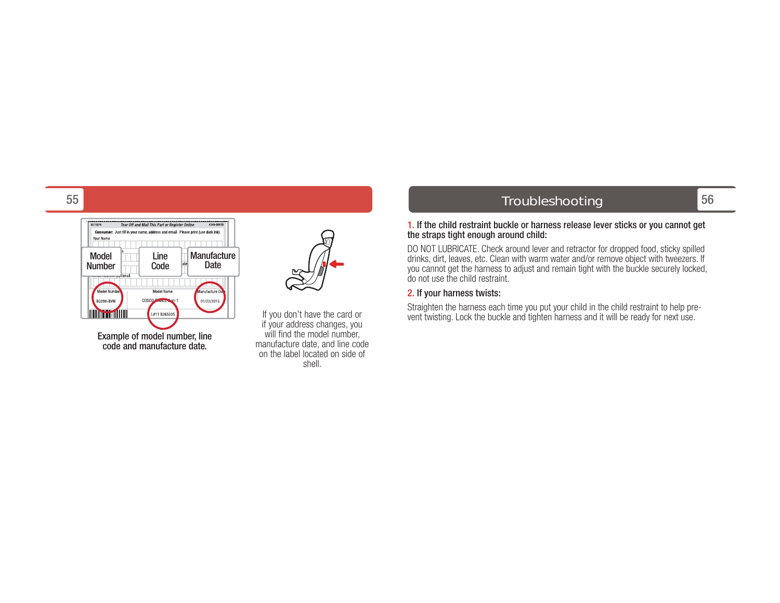

Example of model number, line code and manufacture date.

If you don't have the card or if your address changes, you will find the model number, manufacture date, and line code on the label located on side of shell.

## 56 Troubleshooting

#### 1. If the child restraint buckle or harness release lever sticks or you cannot get the straps tight enough around child:

DO NOT LUBRICATE. Check around lever and retractor for dropped food, sticky spilled drinks, dirt, leaves, etc. Clean with warm water and/or remove object with tweezers. If you cannot get the harness to adjust and remain tight with the buckle securely locked, do not use the child restraint.

#### 2. If your harness twists:

Straighten the harness each time you put your child in the child restraint to help prevent twisting. Lock the buckle and tighten harness and it will be ready for next use.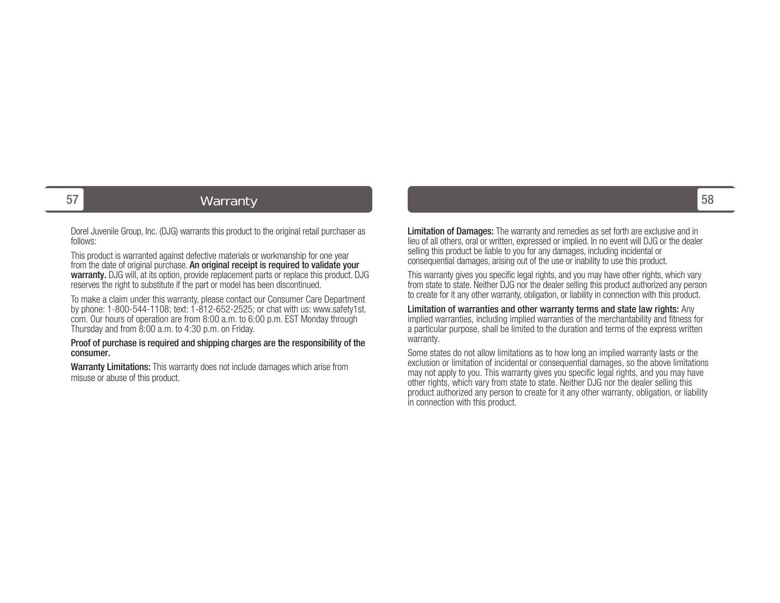## 7 | The Communication of the Warranty Communication of the Communication of the Communication of the State of t

Dorel Juvenile Group, Inc. (DJG) warrants this product to the original retail purchaser as follows:

This product is warranted against defective materials or workmanship for one year from the date of original purchase. An original receipt is required to validate your warranty. DJG will, at its option, provide replacement parts or replace this product. DJG reserves the right to substitute if the part or model has been discontinued.

To make a claim under this warranty, please contact our Consumer Care Department by phone: 1-800-544-1108; text: 1-812-652-2525; or chat with us: www.safety1st. com. Our hours of operation are from 8:00 a.m. to 6:00 p.m. EST Monday through Thursday and from 8:00 a.m. to 4:30 p.m. on Friday.

Proof of purchase is required and shipping charges are the responsibility of the consumer.

Warranty Limitations: This warranty does not include damages which arise from misuse or abuse of this product.

Limitation of Damages: The warranty and remedies as set forth are exclusive and in lieu of all others, oral or written, expressed or implied. In no event will DJG or the dealer selling this product be liable to you for any damages, including incidental or consequential damages, arising out of the use or inability to use this product.

This warranty gives you specific legal rights, and you may have other rights, which vary from state to state. Neither DJG nor the dealer selling this product authorized any person to create for it any other warranty, obligation, or liability in connection with this product.

Limitation of warranties and other warranty terms and state law rights: Any implied warranties, including implied warranties of the merchantability and fitness for a particular purpose, shall be limited to the duration and terms of the express written warranty.

Some states do not allow limitations as to how long an implied warranty lasts or the exclusion or limitation of incidental or consequential damages, so the above limitations may not apply to you. This warranty gives you specific legal rights, and you may have other rights, which vary from state to state. Neither DJG nor the dealer selling this product authorized any person to create for it any other warranty, obligation, or liability in connection with this product.